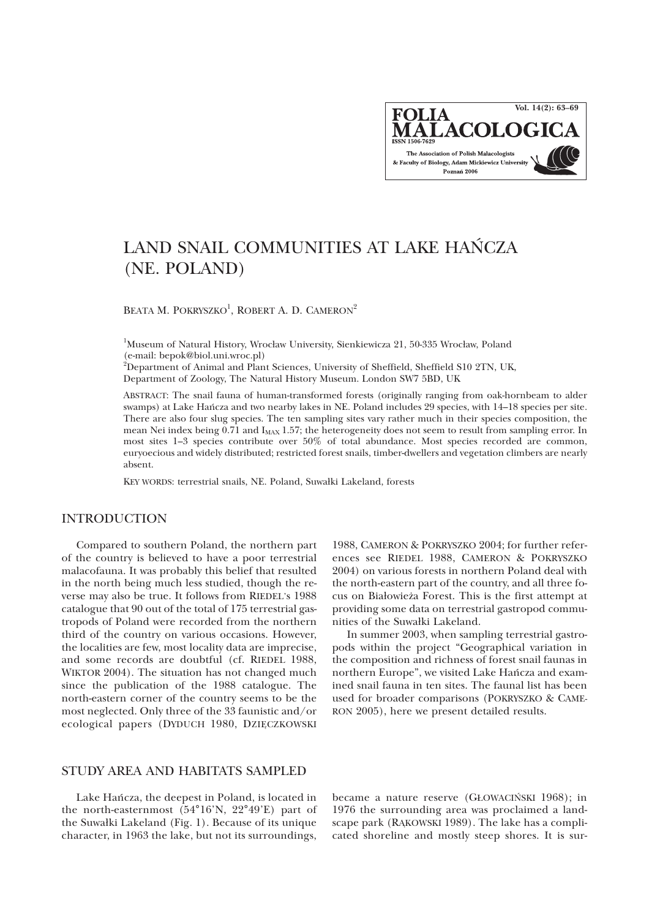**Vol. 14(2): 63–69FOLIA** ALACOLO The Association of Polish Malacologists & Faculty of Biology, Adam Mickiewicz University Poznań 2006

# LAND SNAIL COMMUNITIES AT LAKE HAÑCZA (NE. POLAND)

BEATA M. POKRYSZKO<sup>1</sup>, ROBERT A. D. CAMERON<sup>2</sup>

<sup>1</sup>Museum of Natural History, Wrocław University, Sienkiewicza 21, 50-335 Wrocław, Poland (e-mail: bepok@biol.uni.wroc.pl) 2 Department of Animal and Plant Sciences, University of Sheffield, Sheffield S10 2TN, UK,

Department of Zoology, The Natural History Museum. London SW7 5BD, UK

ABSTRACT: The snail fauna of human-transformed forests (originally ranging from oak-hornbeam to alder swamps) at Lake Hañcza and two nearby lakes in NE. Poland includes 29 species, with 14–18 species per site. There are also four slug species. The ten sampling sites vary rather much in their species composition, the mean Nei index being  $0.71$  and  $I_{MAX}$  1.57; the heterogeneity does not seem to result from sampling error. In most sites 1–3 species contribute over 50% of total abundance. Most species recorded are common, euryoecious and widely distributed; restricted forest snails, timber-dwellers and vegetation climbers are nearly absent.

KEY WORDS: terrestrial snails, NE. Poland, Suwałki Lakeland, forests

### INTRODUCTION

Compared to southern Poland, the northern part of the country is believed to have a poor terrestrial malacofauna. It was probably this belief that resulted in the north being much less studied, though the reverse may also be true. It follows from RIEDEL's 1988 catalogue that 90 out of the total of 175 terrestrial gastropods of Poland were recorded from the northern third of the country on various occasions. However, the localities are few, most locality data are imprecise, and some records are doubtful (cf. RIEDEL 1988, WIKTOR 2004). The situation has not changed much since the publication of the 1988 catalogue. The north-eastern corner of the country seems to be the most neglected. Only three of the 33 faunistic and/or ecological papers (DYDUCH 1980, DZIĘCZKOWSKI

1988, CAMERON & POKRYSZKO 2004; for further references see RIEDEL 1988, CAMERON & POKRYSZKO 2004) on various forests in northern Poland deal with the north-eastern part of the country, and all three focus on Bia³owie¿a Forest. This is the first attempt at providing some data on terrestrial gastropod communities of the Suwałki Lakeland.

In summer 2003, when sampling terrestrial gastropods within the project "Geographical variation in the composition and richness of forest snail faunas in northern Europe", we visited Lake Hañcza and examined snail fauna in ten sites. The faunal list has been used for broader comparisons (POKRYSZKO & CAME-RON 2005), here we present detailed results.

## STUDY AREA AND HABITATS SAMPLED

Lake Hañcza, the deepest in Poland, is located in the north-easternmost (54°16'N, 22°49'E) part of the Suwałki Lakeland (Fig. 1). Because of its unique character, in 1963 the lake, but not its surroundings,

became a nature reserve (G£OWACIÑSKI 1968); in 1976 the surrounding area was proclaimed a landscape park (RAKOWSKI 1989). The lake has a complicated shoreline and mostly steep shores. It is sur-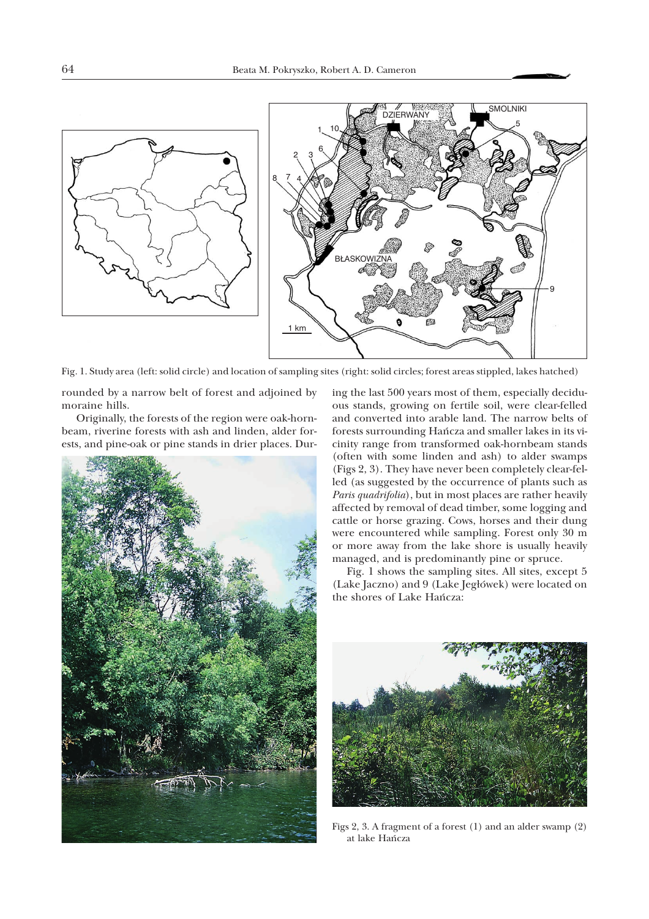

Fig. 1. Study area (left: solid circle) and location of sampling sites (right: solid circles; forest areas stippled, lakes hatched)

rounded by a narrow belt of forest and adjoined by moraine hills.

Originally, the forests of the region were oak-hornbeam, riverine forests with ash and linden, alder forests, and pine-oak or pine stands in drier places. Dur-



ing the last 500 years most of them, especially deciduous stands, growing on fertile soil, were clear-felled and converted into arable land. The narrow belts of forests surrounding Hañcza and smaller lakes in its vicinity range from transformed oak-hornbeam stands (often with some linden and ash) to alder swamps (Figs 2, 3). They have never been completely clear-felled (as suggested by the occurrence of plants such as *Paris quadrifolia*), but in most places are rather heavily affected by removal of dead timber, some logging and cattle or horse grazing. Cows, horses and their dung were encountered while sampling. Forest only 30 m or more away from the lake shore is usually heavily managed, and is predominantly pine or spruce.

Fig. 1 shows the sampling sites. All sites, except 5 (Lake Jaczno) and 9 (Lake Jegłówek) were located on the shores of Lake Hañcza:



Figs 2, 3. A fragment of a forest (1) and an alder swamp (2) at lake Hañcza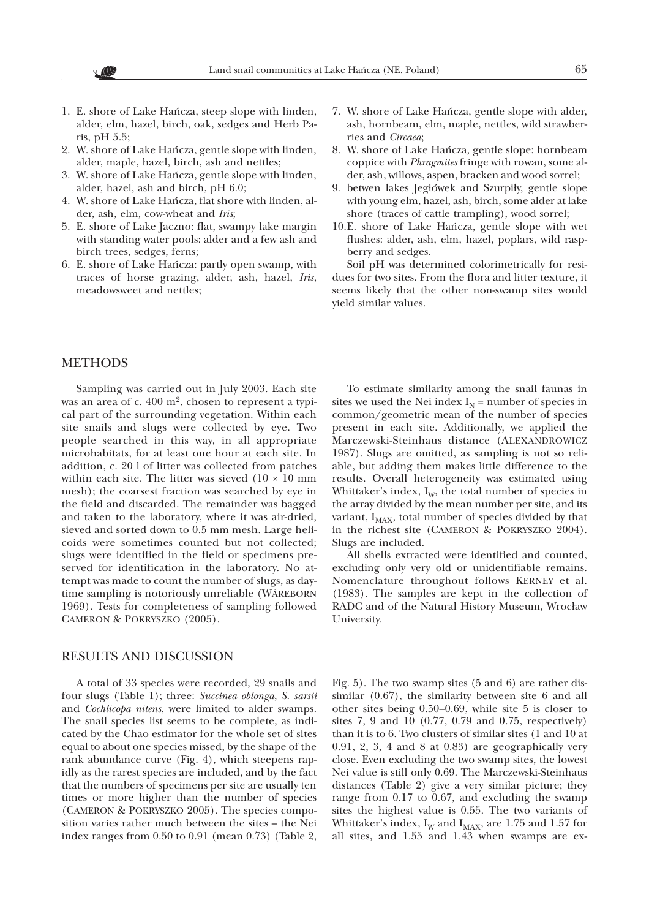- 1. E. shore of Lake Hañcza, steep slope with linden, alder, elm, hazel, birch, oak, sedges and Herb Paris, pH 5.5;
- 2. W. shore of Lake Hañcza, gentle slope with linden, alder, maple, hazel, birch, ash and nettles;
- 3. W. shore of Lake Hañcza, gentle slope with linden, alder, hazel, ash and birch, pH 6.0;
- 4. W. shore of Lake Hañcza, flat shore with linden, alder, ash, elm, cow-wheat and *Iris*;
- 5. E. shore of Lake Jaczno: flat, swampy lake margin with standing water pools: alder and a few ash and birch trees, sedges, ferns;
- 6. E. shore of Lake Hañcza: partly open swamp, with traces of horse grazing, alder, ash, hazel, *Iris*, meadowsweet and nettles;
- 7. W. shore of Lake Hañcza, gentle slope with alder, ash, hornbeam, elm, maple, nettles, wild strawberries and *Circaea*;
- 8. W. shore of Lake Hañcza, gentle slope: hornbeam coppice with *Phragmites* fringe with rowan, some alder, ash, willows, aspen, bracken and wood sorrel;
- 9. betwen lakes Jegłówek and Szurpiły, gentle slope with young elm, hazel, ash, birch, some alder at lake shore (traces of cattle trampling), wood sorrel;
- 10.E. shore of Lake Hañcza, gentle slope with wet flushes: alder, ash, elm, hazel, poplars, wild raspberry and sedges.

Soil pH was determined colorimetrically for residues for two sites. From the flora and litter texture, it seems likely that the other non-swamp sites would yield similar values.

#### METHODS

Sampling was carried out in July 2003. Each site was an area of c. 400 m<sup>2</sup>, chosen to represent a typical part of the surrounding vegetation. Within each site snails and slugs were collected by eye. Two people searched in this way, in all appropriate microhabitats, for at least one hour at each site. In addition, c. 20 l of litter was collected from patches within each site. The litter was sieved  $(10 \times 10 \text{ mm})$ mesh); the coarsest fraction was searched by eye in the field and discarded. The remainder was bagged and taken to the laboratory, where it was air-dried, sieved and sorted down to 0.5 mm mesh. Large helicoids were sometimes counted but not collected; slugs were identified in the field or specimens preserved for identification in the laboratory. No attempt was made to count the number of slugs, as daytime sampling is notoriously unreliable (WÄREBORN 1969). Tests for completeness of sampling followed CAMERON & POKRYSZKO (2005).

### RESULTS AND DISCUSSION

A total of 33 species were recorded, 29 snails and four slugs (Table 1); three: *Succinea oblonga*, *S. sarsii* and *Cochlicopa nitens*, were limited to alder swamps. The snail species list seems to be complete, as indicated by the Chao estimator for the whole set of sites equal to about one species missed, by the shape of the rank abundance curve (Fig. 4), which steepens rapidly as the rarest species are included, and by the fact that the numbers of specimens per site are usually ten times or more higher than the number of species (CAMERON & POKRYSZKO 2005). The species composition varies rather much between the sites – the Nei index ranges from 0.50 to 0.91 (mean 0.73) (Table 2,

To estimate similarity among the snail faunas in sites we used the Nei index  $I_N$  = number of species in common/geometric mean of the number of species present in each site. Additionally, we applied the Marczewski-Steinhaus distance (ALEXANDROWICZ 1987). Slugs are omitted, as sampling is not so reliable, but adding them makes little difference to the results. Overall heterogeneity was estimated using Whittaker's index,  $I_W$ , the total number of species in the array divided by the mean number per site, and its variant,  $I_{MAX}$ , total number of species divided by that in the richest site (CAMERON & POKRYSZKO 2004). Slugs are included.

All shells extracted were identified and counted, excluding only very old or unidentifiable remains. Nomenclature throughout follows KERNEY et al. (1983). The samples are kept in the collection of RADC and of the Natural History Museum, Wrocław University.

Fig. 5). The two swamp sites (5 and 6) are rather dissimilar (0.67), the similarity between site 6 and all other sites being 0.50–0.69, while site 5 is closer to sites 7, 9 and 10 (0.77, 0.79 and 0.75, respectively) than it is to 6. Two clusters of similar sites (1 and 10 at 0.91, 2, 3, 4 and 8 at 0.83) are geographically very close. Even excluding the two swamp sites, the lowest Nei value is still only 0.69. The Marczewski-Steinhaus distances (Table 2) give a very similar picture; they range from 0.17 to 0.67, and excluding the swamp sites the highest value is 0.55. The two variants of Whittaker's index,  $I_W$  and  $I_{MAX}$ , are 1.75 and 1.57 for all sites, and 1.55 and 1.43 when swamps are ex-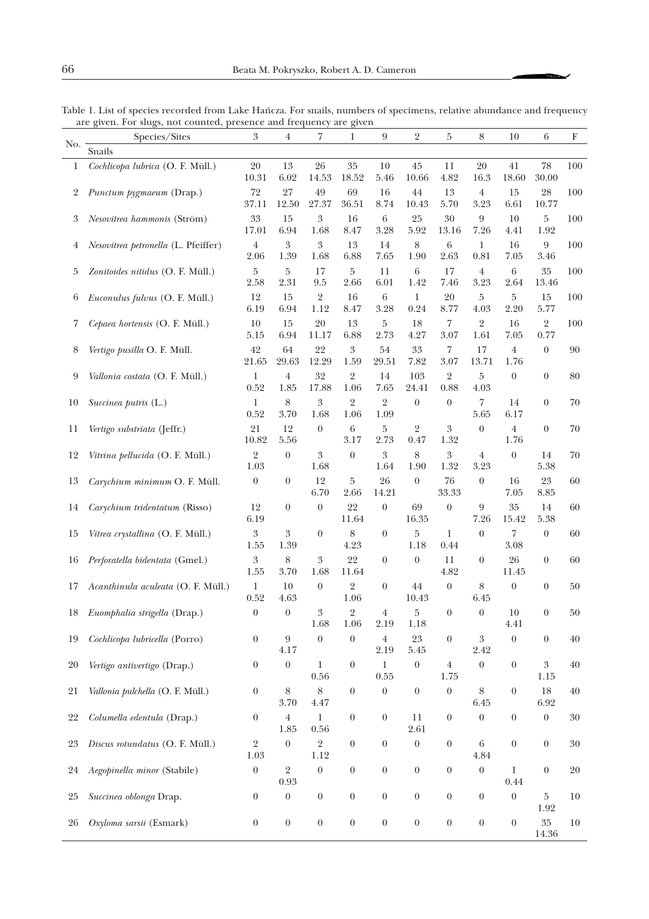|     | Species/Sites                       | $\boldsymbol{\mathcal{S}}$ | $\overline{4}$           | 7                        | 1                      | 9                                  | 2                  | 5                        | 8                        | 10                     | 6                      | F      |
|-----|-------------------------------------|----------------------------|--------------------------|--------------------------|------------------------|------------------------------------|--------------------|--------------------------|--------------------------|------------------------|------------------------|--------|
| No. | Snails                              |                            |                          |                          |                        |                                    |                    |                          |                          |                        |                        |        |
| 1   | Cochlicopa lubrica (O. F. Müll.)    | $20\,$<br>10.31            | 13<br>6.02               | $26\,$<br>$14.53\,$      | $35\,$<br>18.52        | 10<br>5.46                         | $45\,$<br>10.66    | 11<br>4.82               | 20<br>16.3               | 41<br>18.60            | 78<br>30.00            | 100    |
| 2   | Punctum pygmaeum (Drap.)            | $72\,$<br>37.11            | $27\,$<br>12.50          | 49<br>27.37              | 69<br>36.51            | 16<br>8.74                         | 44<br>10.43        | 13<br>5.70               | $\,4\,$<br>3.23          | 15<br>6.61             | 28<br>10.77            | 100    |
| 3   | Nesovitrea hammonis (Ström)         | $33\,$<br>17.01            | 15<br>6.94               | $\boldsymbol{3}$<br>1.68 | $16\,$<br>8.47         | 6<br>3.28                          | 25<br>5.92         | 30<br>13.16              | $\boldsymbol{9}$<br>7.26 | 10<br>4.41             | 5<br>1.92              | 100    |
| 4   | Nesovitrea petronella (L. Pfeiffer) | $\overline{4}$<br>2.06     | $\boldsymbol{3}$<br>1.39 | $\boldsymbol{3}$<br>1.68 | 13<br>6.88             | 14<br>7.65                         | $\,8\,$<br>1.90    | 6<br>2.63                | 1<br>0.81                | 16<br>$7.05\,$         | 9<br>3.46              | 100    |
| 5   | Zonitoides nitidus (O. F. Müll.)    | 5<br>2.58                  | $\bf 5$<br>2.31          | 17<br>9.5                | 5<br>2.66              | 11<br>6.01                         | 6<br>1.42          | 17<br>7.46               | $\overline{4}$<br>3.23   | $\,6\,$<br>2.64        | 35<br>13.46            | 100    |
| 6   | Euconulus fulvus (O. F. Müll.)      | 12<br>6.19                 | 15<br>6.94               | $\overline{2}$<br>1.12   | 16<br>8.47             | $\,6\,$<br>3.28                    | 1<br>0.24          | 20<br>8.77               | 5<br>4.03                | 5<br>2.20              | 15<br>5.77             | 100    |
| 7   | Cepaea hortensis (O. F. Müll.)      | 10<br>5.15                 | 15<br>6.94               | 20<br>11.17              | 13<br>6.88             | 5<br>2.73                          | 18<br>4.27         | 7<br>3.07                | $\sqrt{2}$<br>1.61       | 16<br>7.05             | $\overline{2}$<br>0.77 | 100    |
| 8   | Vertigo pusilla O. F. Müll.         | 42<br>21.65                | 64<br>29.63              | 22<br>12.29              | 3<br>1.59              | 54<br>29.51                        | 33<br>7.82         | 7<br>3.07                | 17<br>13.71              | $\,4$<br>1.76          | $\boldsymbol{0}$       | 90     |
| 9   | Vallonia costata (O. F. Müll.)      | 1<br>0.52                  | $\,4\,$<br>1.85          | 32<br>17.88              | 2<br>1.06              | 14<br>7.65                         | 103<br>24.41       | $\overline{2}$<br>0.88   | $\bf 5$<br>4.03          | $\boldsymbol{0}$       | $\boldsymbol{0}$       | 80     |
| 10  | Succinea putris (L.)                | 1<br>0.52                  | 8<br>3.70                | 3<br>1.68                | $\overline{2}$<br>1.06 | $\overline{2}$<br>1.09             | $\boldsymbol{0}$   | $\boldsymbol{0}$         | 7<br>5.65                | 14<br>6.17             | $\boldsymbol{0}$       | 70     |
| 11  | Vertigo substriata (Jeffr.)         | 21<br>10.82                | 12<br>5.56               | $\boldsymbol{0}$         | 6<br>3.17              | 5<br>2.73                          | 2<br>0.47          | 3<br>1.32                | $\boldsymbol{0}$         | $\overline{4}$<br>1.76 | $\boldsymbol{0}$       | 70     |
| 12  | Vitrina pellucida (O. F. Müll.)     | 2<br>1.03                  | $\boldsymbol{0}$         | 3<br>1.68                | $\boldsymbol{0}$       | $\boldsymbol{\mathcal{S}}$<br>1.64 | $8\,$<br>1.90      | $\boldsymbol{3}$<br>1.32 | $\overline{4}$<br>3.23   | $\boldsymbol{0}$       | 14<br>5.38             | 70     |
| 13  | Carychium minimum O. F. Müll.       | $\boldsymbol{0}$           | $\boldsymbol{0}$         | 12<br>6.70               | 5<br>2.66              | 26<br>14.21                        | $\theta$           | 76<br>33.33              | $\boldsymbol{0}$         | 16<br>7.05             | $23\,$<br>8.85         | 60     |
| 14  | Carychium tridentatum (Risso)       | 12<br>6.19                 | $\boldsymbol{0}$         | $\boldsymbol{0}$         | 22<br>11.64            | $\boldsymbol{0}$                   | 69<br>$16.35\,$    | $\boldsymbol{0}$         | 9<br>7.26                | 35<br>15.42            | 14<br>5.38             | 60     |
| 15  | Vitrea crystallina (O. F. Müll.)    | $\boldsymbol{3}$<br>1.55   | 3<br>1.39                | $\boldsymbol{0}$         | 8<br>4.23              | $\boldsymbol{0}$                   | 5<br>1.18          | 1<br>0.44                | $\boldsymbol{0}$         | 7<br>3.08              | $\theta$               | 60     |
| 16  | Perforatella bidentata (Gmel.)      | 3<br>1.55                  | 8<br>3.70                | 3<br>1.68                | 22<br>11.64            | $\boldsymbol{0}$                   | $\theta$           | 11<br>4.82               | $\boldsymbol{0}$         | 26<br>11.45            | $\boldsymbol{0}$       | 60     |
| 17  | Acanthinula aculeata (O. F. Müll.)  | 1<br>0.52                  | 10<br>4.63               | $\boldsymbol{0}$         | $\overline{2}$<br>1.06 | $\boldsymbol{0}$                   | 44<br>10.43        | $\boldsymbol{0}$         | 8<br>6.45                | $\boldsymbol{0}$       | $\boldsymbol{0}$       | 50     |
| 18  | Euomphalia strigella (Drap.)        | $\boldsymbol{0}$           | $\boldsymbol{0}$         | 3<br>1.68                | $\overline{2}$<br>1.06 | 4<br>2.19                          | 5<br>1.18          | $\boldsymbol{0}$         | $\boldsymbol{0}$         | 10<br>4.41             | 0                      | 50     |
| 19  | Cochlicopa lubricella (Porro)       | $\boldsymbol{0}$           | $\boldsymbol{9}$<br>4.17 | $\boldsymbol{0}$         | $\boldsymbol{0}$       | $\overline{4}$<br>2.19             | $23\,$<br>$5.45\,$ | $\boldsymbol{0}$         | 3<br>2.42                | $\boldsymbol{0}$       | $\boldsymbol{0}$       | 40     |
| 20  | Vertigo antivertigo (Drap.)         | $\boldsymbol{0}$           | $\boldsymbol{0}$         | 1<br>0.56                | $\boldsymbol{0}$       | 1<br>$0.55\,$                      | $\boldsymbol{0}$   | $\overline{4}$<br>1.75   | $\boldsymbol{0}$         | $\boldsymbol{0}$       | 3<br>1.15              | 40     |
| 21  | Vallonia pulchella (O. F. Müll.)    | $\boldsymbol{0}$           | 8<br>3.70                | $8\,$<br>4.47            | $\boldsymbol{0}$       | $\boldsymbol{0}$                   | $\boldsymbol{0}$   | $\boldsymbol{0}$         | 8<br>6.45                | $\boldsymbol{0}$       | 18<br>6.92             | 40     |
| 22  | Columella edentula (Drap.)          | $\boldsymbol{0}$           | $\overline{4}$<br>1.85   | $\mathbf{1}$<br>$0.56\,$ | $\boldsymbol{0}$       | $\boldsymbol{0}$                   | 11<br>2.61         | $\boldsymbol{0}$         | $\boldsymbol{0}$         | $\boldsymbol{0}$       | $\boldsymbol{0}$       | 30     |
| 23  | Discus rotundatus (O. F. Müll.)     | 2<br>1.03                  | $\boldsymbol{0}$         | $\overline{2}$<br>1.12   | $\boldsymbol{0}$       | $\boldsymbol{0}$                   | $\boldsymbol{0}$   | $\boldsymbol{0}$         | $\,6\,$<br>4.84          | $\boldsymbol{0}$       | $\boldsymbol{0}$       | 30     |
| 24  | Aegopinella minor (Stabile)         | $\boldsymbol{0}$           | $\sqrt{2}$<br>0.93       | $\boldsymbol{0}$         | $\boldsymbol{0}$       | $\boldsymbol{0}$                   | $\boldsymbol{0}$   | $\boldsymbol{0}$         | $\boldsymbol{0}$         | $\mathbf 1$<br>0.44    | $\boldsymbol{0}$       | $20\,$ |
| 25  | Succinea oblonga Drap.              | $\boldsymbol{0}$           | $\boldsymbol{0}$         | $\boldsymbol{0}$         | $\boldsymbol{0}$       | $\boldsymbol{0}$                   | $\boldsymbol{0}$   | $\boldsymbol{0}$         | $\boldsymbol{0}$         | $\boldsymbol{0}$       | 5<br>1.92              | 10     |
| 26  | Oxyloma sarsii (Esmark)             | $\boldsymbol{0}$           | $\boldsymbol{0}$         | $\boldsymbol{0}$         | $\boldsymbol{0}$       | $\boldsymbol{0}$                   | $\boldsymbol{0}$   | $\boldsymbol{0}$         | $\boldsymbol{0}$         | $\boldsymbol{0}$       | $35\,$<br>14.36        | 10     |

Table 1. List of species recorded from Lake Hañcza. For snails, numbers of specimens, relative abundance and frequency are given. For slugs, not counted, presence and frequency are given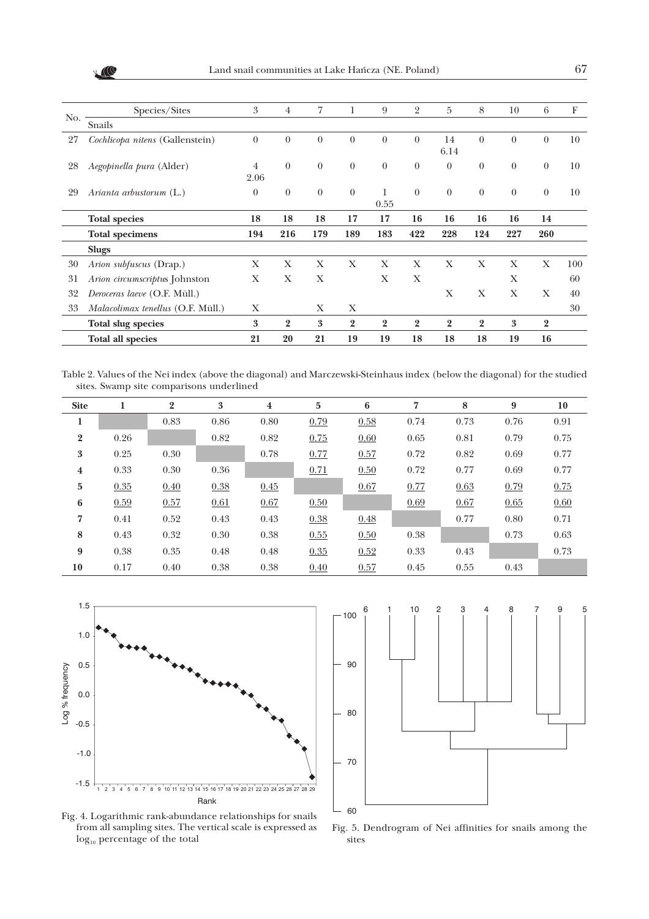XIII

|     | Species/Sites                     | 3            | $\overline{4}$   | 7            | 1              | 9              | 2              | $\overline{5}$ | 8              | 10       | 6              | F   |
|-----|-----------------------------------|--------------|------------------|--------------|----------------|----------------|----------------|----------------|----------------|----------|----------------|-----|
| No. | Snails                            |              |                  |              |                |                |                |                |                |          |                |     |
| 27  | Cochlicopa nitens (Gallenstein)   | $\theta$     | $\theta$         | $\theta$     | $\theta$       | $\theta$       | $\theta$       | 14<br>6.14     | $\theta$       | $\theta$ | $\theta$       | 10  |
| 28  | Aegopinella pura (Alder)          | 4<br>2.06    | $\theta$         | $\theta$     | $\theta$       | $\theta$       | $\theta$       | $\theta$       | $\theta$       | $\theta$ | $\theta$       | 10  |
| 29  | Arianta arbustorum $(L.)$         | $\theta$     | $\boldsymbol{0}$ | $\theta$     | $\theta$       | 1<br>0.55      | $\theta$       | $\overline{0}$ | $\theta$       | $\theta$ | $\theta$       | 10  |
|     | <b>Total species</b>              | 18           | 18               | 18           | 17             | 17             | 16             | 16             | 16             | 16       | 14             |     |
|     | <b>Total specimens</b>            | 194          | 216              | 179          | 189            | 183            | 422            | 228            | 124            | 227      | 260            |     |
|     | <b>Slugs</b>                      |              |                  |              |                |                |                |                |                |          |                |     |
| 30  | Arion subfuscus (Drap.)           | X            | X                | $\mathbf{X}$ | X              | X              | X              | X              | X              | X        | X              | 100 |
| 31  | Arion circumscriptus Johnston     | $\mathbf{X}$ | X                | X            |                | X              | X              |                |                | X        |                | 60  |
| 32  | Deroceras laeve (O.F. Müll.)      |              |                  |              |                |                |                | X              | X              | X        | X              | 40  |
| 33  | Malacolimax tenellus (O.F. Müll.) | X            |                  | X            | X              |                |                |                |                |          |                | 30  |
|     | <b>Total slug species</b>         | 3            | $\overline{2}$   | 3            | $\overline{2}$ | $\overline{2}$ | $\overline{2}$ | $\overline{2}$ | $\overline{2}$ | 3        | $\overline{2}$ |     |
|     | <b>Total all species</b>          | 21           | 20               | 21           | 19             | 19             | 18             | 18             | 18             | 19       | 16             |     |

Table 2. Values of the Nei index (above the diagonal) and Marczewski-Steinhaus index (below the diagonal) for the studied sites. Swamp site comparisons underlined

| <b>Site</b>      | 1    | $\overline{2}$ | 3    | $\overline{\mathbf{4}}$ | $\overline{5}$ | 6    | 7    | 8    | 9    | 10   |
|------------------|------|----------------|------|-------------------------|----------------|------|------|------|------|------|
| л                |      | 0.83           | 0.86 | 0.80                    | 0.79           | 0.58 | 0.74 | 0.73 | 0.76 | 0.91 |
| $\boldsymbol{2}$ | 0.26 |                | 0.82 | 0.82                    | 0.75           | 0.60 | 0.65 | 0.81 | 0.79 | 0.75 |
| $\boldsymbol{3}$ | 0.25 | 0.30           |      | 0.78                    | 0.77           | 0.57 | 0.72 | 0.82 | 0.69 | 0.77 |
| $\bf{4}$         | 0.33 | 0.30           | 0.36 |                         | 0.71           | 0.50 | 0.72 | 0.77 | 0.69 | 0.77 |
| $\mathbf{5}$     | 0.35 | 0.40           | 0.38 | 0.45                    |                | 0.67 | 0.77 | 0.63 | 0.79 | 0.75 |
| 6                | 0.59 | 0.57           | 0.61 | 0.67                    | 0.50           |      | 0.69 | 0.67 | 0.65 | 0.60 |
| 7                | 0.41 | 0.52           | 0.43 | 0.43                    | 0.38           | 0.48 |      | 0.77 | 0.80 | 0.71 |
| 8                | 0.43 | 0.32           | 0.30 | 0.38                    | 0.55           | 0.50 | 0.38 |      | 0.73 | 0.63 |
| 9                | 0.38 | 0.35           | 0.48 | 0.48                    | 0.35           | 0.52 | 0.33 | 0.43 |      | 0.73 |
| 10               | 0.17 | 0.40           | 0.38 | 0.38                    | 0.40           | 0.57 | 0.45 | 0.55 | 0.43 |      |





Fig. 4. Logarithmic rank-abundance relationships for snails from all sampling sites. The vertical scale is expressed as  $\log_{10}$  percentage of the total

Fig. 5. Dendrogram of Nei affinities for snails among the sites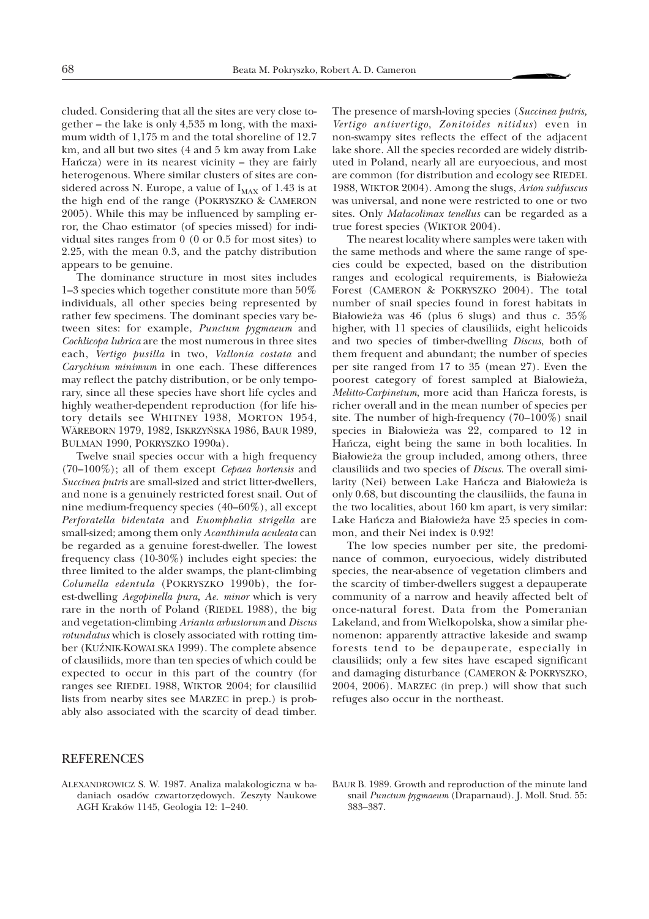cluded. Considering that all the sites are very close together – the lake is only 4,535 m long, with the maximum width of 1,175 m and the total shoreline of 12.7 km, and all but two sites (4 and 5 km away from Lake Hañcza) were in its nearest vicinity – they are fairly heterogenous. Where similar clusters of sites are considered across N. Europe, a value of  $I_{MAX}$  of 1.43 is at the high end of the range (POKRYSZKO & CAMERON 2005). While this may be influenced by sampling error, the Chao estimator (of species missed) for individual sites ranges from 0 (0 or 0.5 for most sites) to 2.25, with the mean 0.3, and the patchy distribution appears to be genuine.

The dominance structure in most sites includes 1–3 species which together constitute more than 50% individuals, all other species being represented by rather few specimens. The dominant species vary between sites: for example, *Punctum pygmaeum* and *Cochlicopa lubrica* are the most numerous in three sites each, *Vertigo pusilla* in two, *Vallonia costata* and *Carychium minimum* in one each. These differences may reflect the patchy distribution, or be only temporary, since all these species have short life cycles and highly weather-dependent reproduction (for life history details see WHITNEY 1938, MORTON 1954, WÄREBORN 1979, 1982, ISKRZYÑSKA 1986, BAUR 1989, BULMAN 1990, POKRYSZKO 1990a).

Twelve snail species occur with a high frequency (70–100%); all of them except *Cepaea hortensis* and *Succinea putris* are small-sized and strict litter-dwellers, and none is a genuinely restricted forest snail. Out of nine medium-frequency species (40–60%), all except *Perforatella bidentata* and *Euomphalia strigella* are small-sized; among them only *Acanthinula aculeata* can be regarded as a genuine forest-dweller. The lowest frequency class (10-30%) includes eight species: the three limited to the alder swamps, the plant-climbing *Columella edentula* (POKRYSZKO 1990b), the forest-dwelling *Aegopinella pura, Ae. minor* which is very rare in the north of Poland (RIEDEL 1988), the big and vegetation-climbing *Arianta arbustorum* and *Discus rotundatus* which is closely associated with rotting timber (KUZNIK-KOWALSKA 1999). The complete absence of clausiliids, more than ten species of which could be expected to occur in this part of the country (for ranges see RIEDEL 1988, WIKTOR 2004; for clausiliid lists from nearby sites see MARZEC in prep.) is probably also associated with the scarcity of dead timber.

The presence of marsh-loving species (*Succinea putris, Vertigo antivertigo*, *Zonitoides nitidus*) even in non-swampy sites reflects the effect of the adjacent lake shore. All the species recorded are widely distributed in Poland, nearly all are euryoecious, and most are common (for distribution and ecology see RIEDEL 1988, WIKTOR 2004). Among the slugs, *Arion subfuscus* was universal, and none were restricted to one or two sites. Only *Malacolimax tenellus* can be regarded as a true forest species (WIKTOR 2004).

The nearest locality where samples were taken with the same methods and where the same range of species could be expected, based on the distribution ranges and ecological requirements, is Białowieża Forest (CAMERON & POKRYSZKO 2004). The total number of snail species found in forest habitats in Białowieża was 46 (plus 6 slugs) and thus c. 35% higher, with 11 species of clausiliids, eight helicoids and two species of timber-dwelling *Discus*, both of them frequent and abundant; the number of species per site ranged from 17 to 35 (mean 27). Even the poorest category of forest sampled at Białowieża, *Melitto-Carpinetum*, more acid than Hañcza forests, is richer overall and in the mean number of species per site. The number of high-frequency (70–100%) snail species in Białowieża was 22, compared to 12 in Hañcza, eight being the same in both localities. In Białowieża the group included, among others, three clausiliids and two species of *Discus*. The overall similarity (Nei) between Lake Hańcza and Białowieża is only 0.68, but discounting the clausiliids, the fauna in the two localities, about 160 km apart, is very similar: Lake Hańcza and Białowieża have 25 species in common, and their Nei index is 0.92!

The low species number per site, the predominance of common, euryoecious, widely distributed species, the near-absence of vegetation climbers and the scarcity of timber-dwellers suggest a depauperate community of a narrow and heavily affected belt of once-natural forest. Data from the Pomeranian Lakeland, and from Wielkopolska, show a similar phenomenon: apparently attractive lakeside and swamp forests tend to be depauperate, especially in clausiliids; only a few sites have escaped significant and damaging disturbance (CAMERON & POKRYSZKO, 2004, 2006). MARZEC (in prep.) will show that such refuges also occur in the northeast.

#### **REFERENCES**

- ALEXANDROWICZ S. W. 1987. Analiza malakologiczna w badaniach osadów czwartorzêdowych. Zeszyty Naukowe AGH Kraków 1145, Geologia 12: 1–240.
- BAUR B. 1989. Growth and reproduction of the minute land snail *Punctum pygmaeum* (Draparnaud). J. Moll. Stud. 55: 383–387.